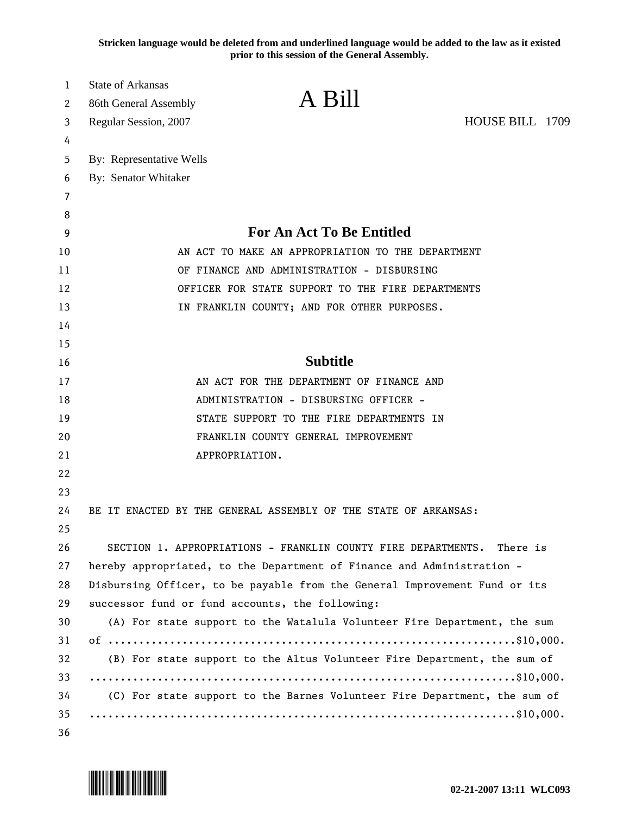**Stricken language would be deleted from and underlined language would be added to the law as it existed prior to this session of the General Assembly.**

| 1  | <b>State of Arkansas</b>                                                   |                                                                           |                 |  |
|----|----------------------------------------------------------------------------|---------------------------------------------------------------------------|-----------------|--|
| 2  | 86th General Assembly                                                      | A Bill                                                                    |                 |  |
| 3  | Regular Session, 2007                                                      |                                                                           | HOUSE BILL 1709 |  |
| 4  |                                                                            |                                                                           |                 |  |
| 5  | By: Representative Wells                                                   |                                                                           |                 |  |
| 6  | By: Senator Whitaker                                                       |                                                                           |                 |  |
| 7  |                                                                            |                                                                           |                 |  |
| 8  |                                                                            |                                                                           |                 |  |
| 9  |                                                                            | <b>For An Act To Be Entitled</b>                                          |                 |  |
| 10 | AN ACT TO MAKE AN APPROPRIATION TO THE DEPARTMENT                          |                                                                           |                 |  |
| 11 | OF FINANCE AND ADMINISTRATION - DISBURSING                                 |                                                                           |                 |  |
| 12 | OFFICER FOR STATE SUPPORT TO THE FIRE DEPARTMENTS                          |                                                                           |                 |  |
| 13 |                                                                            | IN FRANKLIN COUNTY; AND FOR OTHER PURPOSES.                               |                 |  |
| 14 |                                                                            |                                                                           |                 |  |
| 15 |                                                                            |                                                                           |                 |  |
| 16 |                                                                            | <b>Subtitle</b>                                                           |                 |  |
| 17 |                                                                            | AN ACT FOR THE DEPARTMENT OF FINANCE AND                                  |                 |  |
| 18 |                                                                            | ADMINISTRATION - DISBURSING OFFICER -                                     |                 |  |
| 19 |                                                                            | STATE SUPPORT TO THE FIRE DEPARTMENTS IN                                  |                 |  |
| 20 |                                                                            | FRANKLIN COUNTY GENERAL IMPROVEMENT                                       |                 |  |
| 21 |                                                                            | APPROPRIATION.                                                            |                 |  |
| 22 |                                                                            |                                                                           |                 |  |
| 23 |                                                                            |                                                                           |                 |  |
| 24 |                                                                            | BE IT ENACTED BY THE GENERAL ASSEMBLY OF THE STATE OF ARKANSAS:           |                 |  |
| 25 |                                                                            |                                                                           |                 |  |
| 26 | SECTION 1. APPROPRIATIONS - FRANKLIN COUNTY FIRE DEPARTMENTS.<br>There is  |                                                                           |                 |  |
| 27 | hereby appropriated, to the Department of Finance and Administration -     |                                                                           |                 |  |
| 28 | Disbursing Officer, to be payable from the General Improvement Fund or its |                                                                           |                 |  |
| 29 | successor fund or fund accounts, the following:                            |                                                                           |                 |  |
| 30 |                                                                            | (A) For state support to the Watalula Volunteer Fire Department, the sum  |                 |  |
| 31 |                                                                            |                                                                           |                 |  |
| 32 | (B) For state support to the Altus Volunteer Fire Department, the sum of   |                                                                           |                 |  |
| 33 |                                                                            |                                                                           |                 |  |
| 34 |                                                                            | (C) For state support to the Barnes Volunteer Fire Department, the sum of |                 |  |
| 35 |                                                                            |                                                                           |                 |  |
| 36 |                                                                            |                                                                           |                 |  |

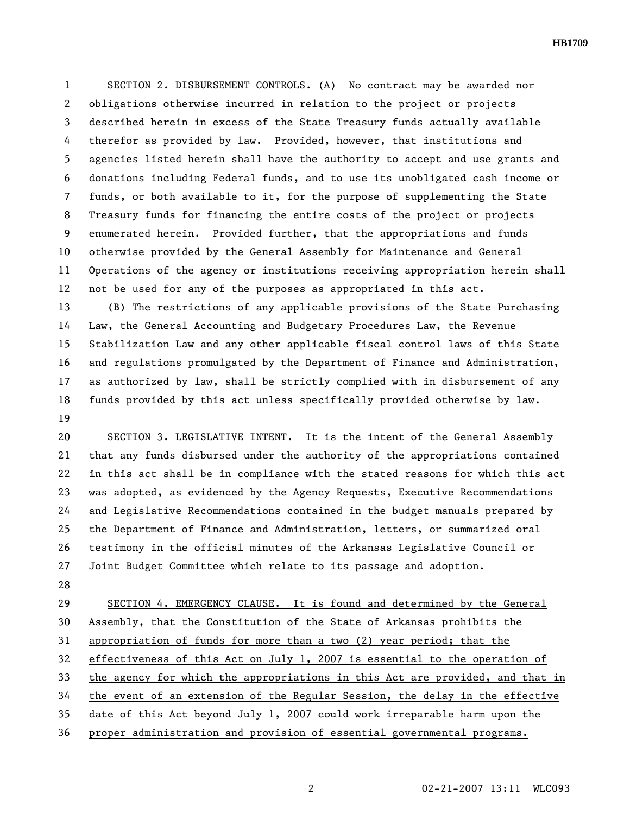**HB1709** 

1 SECTION 2. DISBURSEMENT CONTROLS. (A) No contract may be awarded nor 2 obligations otherwise incurred in relation to the project or projects 3 described herein in excess of the State Treasury funds actually available 4 therefor as provided by law. Provided, however, that institutions and 5 agencies listed herein shall have the authority to accept and use grants and 6 donations including Federal funds, and to use its unobligated cash income or 7 funds, or both available to it, for the purpose of supplementing the State 8 Treasury funds for financing the entire costs of the project or projects 9 enumerated herein. Provided further, that the appropriations and funds 10 otherwise provided by the General Assembly for Maintenance and General 11 Operations of the agency or institutions receiving appropriation herein shall 12 not be used for any of the purposes as appropriated in this act.

13 (B) The restrictions of any applicable provisions of the State Purchasing 14 Law, the General Accounting and Budgetary Procedures Law, the Revenue 15 Stabilization Law and any other applicable fiscal control laws of this State 16 and regulations promulgated by the Department of Finance and Administration, 17 as authorized by law, shall be strictly complied with in disbursement of any 18 funds provided by this act unless specifically provided otherwise by law. 19

20 SECTION 3. LEGISLATIVE INTENT. It is the intent of the General Assembly 21 that any funds disbursed under the authority of the appropriations contained 22 in this act shall be in compliance with the stated reasons for which this act 23 was adopted, as evidenced by the Agency Requests, Executive Recommendations 24 and Legislative Recommendations contained in the budget manuals prepared by 25 the Department of Finance and Administration, letters, or summarized oral 26 testimony in the official minutes of the Arkansas Legislative Council or 27 Joint Budget Committee which relate to its passage and adoption.

28

29 SECTION 4. EMERGENCY CLAUSE. It is found and determined by the General 30 Assembly, that the Constitution of the State of Arkansas prohibits the 31 appropriation of funds for more than a two (2) year period; that the 32 effectiveness of this Act on July 1, 2007 is essential to the operation of 33 the agency for which the appropriations in this Act are provided, and that in 34 the event of an extension of the Regular Session, the delay in the effective 35 date of this Act beyond July 1, 2007 could work irreparable harm upon the 36 proper administration and provision of essential governmental programs.